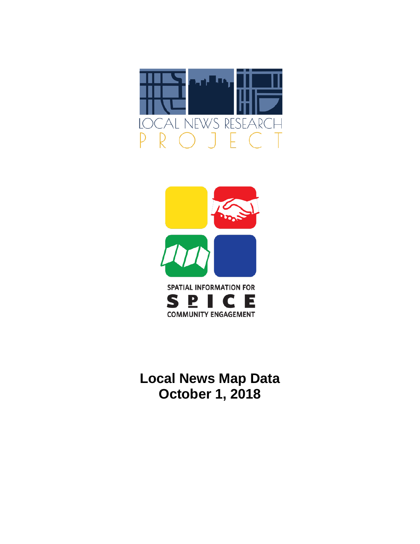



**Local News Map Data October 1, 2018**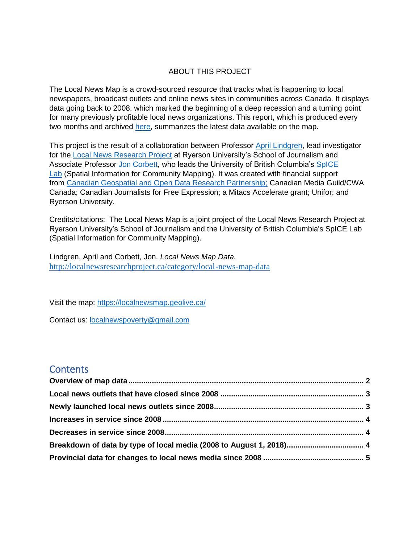### ABOUT THIS PROJECT

The Local News Map is a crowd-sourced resource that tracks what is happening to local newspapers, broadcast outlets and online news sites in communities across Canada. It displays data going back to 2008, which marked the beginning of a deep recession and a turning point for many previously profitable local news organizations. This report, which is produced every two months and archived [here,](http://localnewsresearchproject.ca/category/local-news-map-data) summarizes the latest data available on the map.

This project is the result of a collaboration between Professor [April Lindgren,](http://rsj.journalism.ryerson.ca/team/april-lindgren/) lead investigator for the [Local News Research Project](http://localnewsresearchproject.ca/) at Ryerson University's School of Journalism and Associate Professor [Jon Corbett,](http://joncorbett.com/JonCorbett/Home.html) who leads the University of British Columbia's [SpICE](http://spice.geolive.ca/)  [Lab](http://spice.geolive.ca/) (Spatial Information for Community Mapping). It was created with financial support from [Canadian Geospatial and Open Data Research Partnership;](http://geothink.ca/) Canadian Media Guild/CWA Canada; Canadian Journalists for Free Expression; a Mitacs Accelerate grant; Unifor; and Ryerson University.

Credits/citations: The Local News Map is a joint project of the Local News Research Project at Ryerson University's School of Journalism and the University of British Columbia's SpICE Lab (Spatial Information for Community Mapping).

Lindgren, April and Corbett, Jon. *Local News Map Data.*  <http://localnewsresearchproject.ca/category/local-news-map-data>

Visit the map:<https://localnewsmap.geolive.ca/>

Contact us: **[localnewspoverty@gmail.com](mailto:localnewspoverty@gmail.com)** 

### **Contents**

| Breakdown of data by type of local media (2008 to August 1, 2018) 4 |  |
|---------------------------------------------------------------------|--|
|                                                                     |  |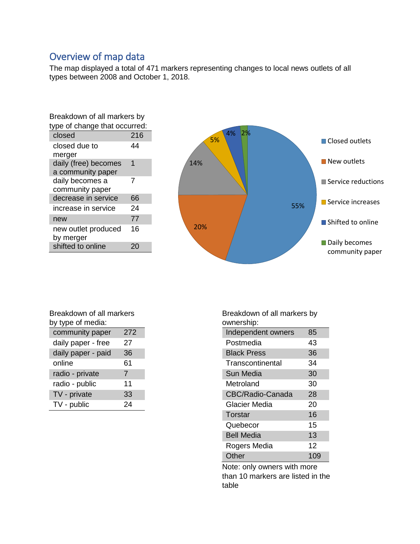# <span id="page-2-0"></span>Overview of map data

The map displayed a total of 471 markers representing changes to local news outlets of all types between 2008 and October 1, 2018.

| Breakdown of all markers by   |     |  |  |  |
|-------------------------------|-----|--|--|--|
| type of change that occurred: |     |  |  |  |
| closed                        | 216 |  |  |  |
| closed due to                 | 44  |  |  |  |
| merger                        |     |  |  |  |
| daily (free) becomes          | 1   |  |  |  |
| a community paper             |     |  |  |  |
| daily becomes a               | 7   |  |  |  |
| community paper               |     |  |  |  |
| decrease in service           | 66  |  |  |  |
| increase in service           | 24  |  |  |  |
| new                           | 77  |  |  |  |
| new outlet produced           | 16  |  |  |  |
| by merger                     |     |  |  |  |
| shifted to online             |     |  |  |  |



| Breakdown of all markers |     |  |  |  |
|--------------------------|-----|--|--|--|
| by type of media:        |     |  |  |  |
| community paper          | 272 |  |  |  |
| daily paper - free       | 27  |  |  |  |
| daily paper - paid       | 36  |  |  |  |
| online                   | 61  |  |  |  |
| radio - private          | 7   |  |  |  |
| radio - public           | 11  |  |  |  |
| TV - private             | 33  |  |  |  |
| TV - public              | 24  |  |  |  |

Breakdown of all markers by ownership:

| Independent owners | 85  |
|--------------------|-----|
| Postmedia          | 43  |
| <b>Black Press</b> | 36  |
| Transcontinental   | 34  |
| Sun Media          | 30  |
| Metroland          | 30  |
| CBC/Radio-Canada   | 28  |
| Glacier Media      | 20  |
| Torstar            | 16  |
| Quebecor           | 15  |
| <b>Bell Media</b>  | 13  |
| Rogers Media       | 12  |
| Other              | 109 |

Note: only owners with more than 10 markers are listed in the table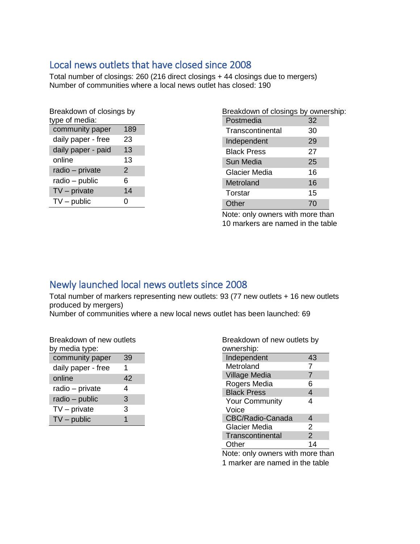## <span id="page-3-0"></span>Local news outlets that have closed since 2008

Total number of closings: 260 (216 direct closings + 44 closings due to mergers) Number of communities where a local news outlet has closed: 190

| Breakdown of closings by |     |  |  |  |  |
|--------------------------|-----|--|--|--|--|
| type of media:           |     |  |  |  |  |
| community paper          | 189 |  |  |  |  |
| daily paper - free       | 23  |  |  |  |  |
| daily paper - paid       | 13  |  |  |  |  |
| online                   | 13  |  |  |  |  |
| radio - private          | 2   |  |  |  |  |
| radio – public           | 6   |  |  |  |  |
| $TV$ – private           | 14  |  |  |  |  |
| $TV$ – public            | ი   |  |  |  |  |
|                          |     |  |  |  |  |

| Breakdown of closings by ownership: |    |  |
|-------------------------------------|----|--|
| Postmedia                           | 32 |  |
| Transcontinental                    | 30 |  |
| Independent                         | 29 |  |
| <b>Black Press</b>                  | 27 |  |
| Sun Media                           | 25 |  |
| Glacier Media                       | 16 |  |
| Metroland                           | 16 |  |
| Torstar                             | 15 |  |
| Other                               | 70 |  |
|                                     |    |  |

Note: only owners with more than 10 markers are named in the table

# <span id="page-3-1"></span>Newly launched local news outlets since 2008

Total number of markers representing new outlets: 93 (77 new outlets + 16 new outlets produced by mergers)

Number of communities where a new local news outlet has been launched: 69

Breakdown of new outlets by media type:

| community paper    | 39 |
|--------------------|----|
| daily paper - free | 1  |
| online             | 42 |
| radio - private    | 4  |
| radio - public     | 3  |
| $TV$ – private     | 3  |
| $TV$ – public      |    |

| Breakdown of new outlets by |               |  |  |  |
|-----------------------------|---------------|--|--|--|
| ownership:                  |               |  |  |  |
| Independent                 | 43            |  |  |  |
| Metroland                   | 7             |  |  |  |
| <b>Village Media</b>        | 7             |  |  |  |
| Rogers Media                | 6             |  |  |  |
| <b>Black Press</b>          | 4             |  |  |  |
| <b>Your Community</b>       | Δ             |  |  |  |
| Voice                       |               |  |  |  |
| CBC/Radio-Canada            | 4             |  |  |  |
| Glacier Media               | 2             |  |  |  |
| Transcontinental            | $\mathcal{P}$ |  |  |  |
| Other                       | 14            |  |  |  |

Note: only owners with more than 1 marker are named in the table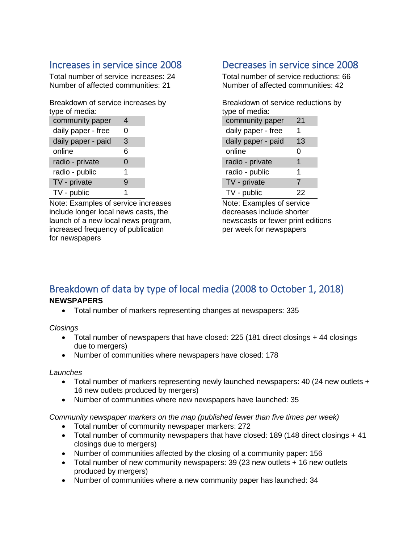## <span id="page-4-0"></span>Increases in service since 2008

Total number of service increases: 24 Number of affected communities: 21

Breakdown of service increases by type of media:

| , , , , , , , , , , , |   |  |
|-----------------------|---|--|
| community paper       | 4 |  |
| daily paper - free    | 0 |  |
| daily paper - paid    | 3 |  |
| online                | 6 |  |
| radio - private       | 0 |  |
| radio - public        | 1 |  |
| TV - private          | 9 |  |
| TV - public           | 1 |  |

Note: Examples of service increases include longer local news casts, the launch of a new local news program, increased frequency of publication for newspapers

## <span id="page-4-1"></span>Decreases in service since 2008

Total number of service reductions: 66 Number of affected communities: 42

Breakdown of service reductions by type of media: community paper 21

| <b>OVITTITUTILY PUPUI</b> |    |  |
|---------------------------|----|--|
| daily paper - free        | 1  |  |
| daily paper - paid        | 13 |  |
| online                    | 0  |  |
| radio - private           | 1  |  |
| radio - public            | 1  |  |
| TV - private              | 7  |  |
| TV - public               | 22 |  |

Note: Examples of service decreases include shorter newscasts or fewer print editions per week for newspapers

### <span id="page-4-2"></span>Breakdown of data by type of local media (2008 to October 1, 2018) **NEWSPAPERS**

• Total number of markers representing changes at newspapers: 335

*Closings*

- Total number of newspapers that have closed: 225 (181 direct closings + 44 closings due to mergers)
- Number of communities where newspapers have closed: 178

### *Launches*

- Total number of markers representing newly launched newspapers: 40 (24 new outlets + 16 new outlets produced by mergers)
- Number of communities where new newspapers have launched: 35

*Community newspaper markers on the map (published fewer than five times per week)* 

- Total number of community newspaper markers: 272
- Total number of community newspapers that have closed: 189 (148 direct closings + 41 closings due to mergers)
- Number of communities affected by the closing of a community paper: 156
- Total number of new community newspapers: 39 (23 new outlets + 16 new outlets produced by mergers)
- Number of communities where a new community paper has launched: 34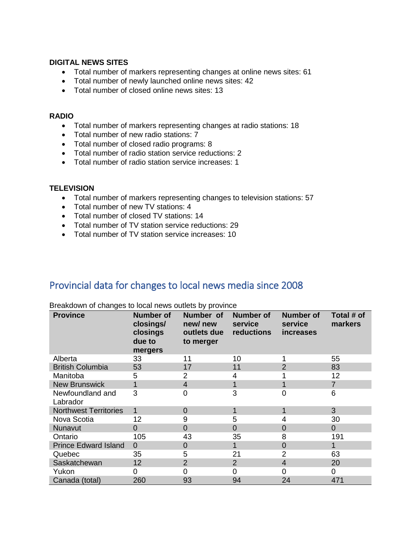#### **DIGITAL NEWS SITES**

- Total number of markers representing changes at online news sites: 61
- Total number of newly launched online news sites: 42
- Total number of closed online news sites: 13

#### **RADIO**

- Total number of markers representing changes at radio stations: 18
- Total number of new radio stations: 7
- Total number of closed radio programs: 8
- Total number of radio station service reductions: 2
- Total number of radio station service increases: 1

#### **TELEVISION**

- Total number of markers representing changes to television stations: 57
- Total number of new TV stations: 4
- Total number of closed TV stations: 14
- Total number of TV station service reductions: 29
- Total number of TV station service increases: 10

### <span id="page-5-0"></span>Provincial data for changes to local news media since 2008

| <b>Province</b>              | <b>Number of</b><br>closings/<br>closings<br>due to<br>mergers | Number of<br>new/new<br>outlets due<br>to merger | <b>Number of</b><br>service<br>reductions | <b>Number of</b><br>service<br>increases | Total # of<br>markers |
|------------------------------|----------------------------------------------------------------|--------------------------------------------------|-------------------------------------------|------------------------------------------|-----------------------|
| Alberta                      | 33                                                             | 11                                               | 10                                        |                                          | 55                    |
| <b>British Columbia</b>      | 53                                                             | 17                                               | 11                                        | $\overline{2}$                           | 83                    |
| Manitoba                     | 5                                                              | 2                                                | 4                                         |                                          | 12                    |
| <b>New Brunswick</b>         | 1                                                              | $\overline{4}$                                   |                                           | 1                                        | $\overline{7}$        |
| Newfoundland and<br>Labrador | 3                                                              | 0                                                | 3                                         | $\overline{0}$                           | 6                     |
| <b>Northwest Territories</b> | $\mathbf 1$                                                    | 0                                                |                                           | 1                                        | 3                     |
| Nova Scotia                  | 12                                                             | 9                                                | 5                                         | 4                                        | 30                    |
| Nunavut                      | 0                                                              | $\overline{0}$                                   | $\Omega$                                  | $\overline{0}$                           | $\overline{0}$        |
| Ontario                      | 105                                                            | 43                                               | 35                                        | 8                                        | 191                   |
| <b>Prince Edward Island</b>  | $\Omega$                                                       | $\Omega$                                         |                                           | $\overline{0}$                           | 1                     |
| Quebec                       | 35                                                             | 5                                                | 21                                        | $\overline{2}$                           | 63                    |
| Saskatchewan                 | 12                                                             | $\overline{2}$                                   | 2                                         | 4                                        | 20                    |
| Yukon                        | 0                                                              | 0                                                | 0                                         | 0                                        | 0                     |
| Canada (total)               | 260                                                            | 93                                               | 94                                        | 24                                       | 471                   |

Breakdown of changes to local news outlets by province